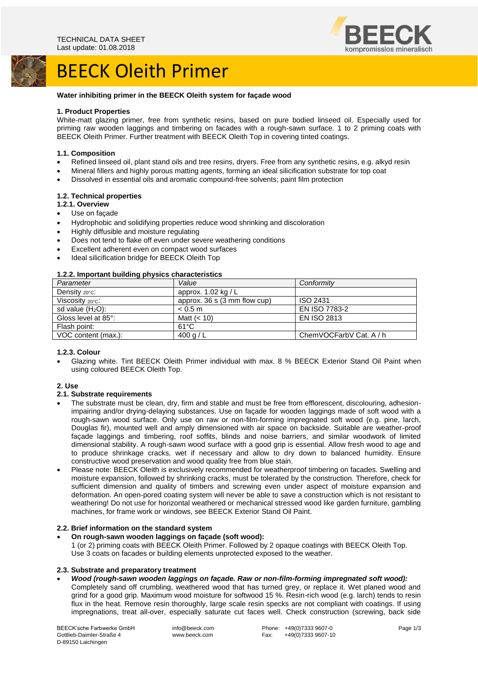

# BEECK Oleith Primer

### **Water inhibiting primer in the BEECK Oleith system for façade wood**

### **1. Product Properties**

White-matt glazing primer, free from synthetic resins, based on pure bodied linseed oil. Especially used for priming raw wooden laggings and timbering on facades with a rough-sawn surface. 1 to 2 priming coats with BEECK Oleith Primer. Further treatment with BEECK Oleith Top in covering tinted coatings.

### **1.1. Composition**

- Refined linseed oil, plant stand oils and tree resins, dryers. Free from any synthetic resins, e.g. alkyd resin
- Mineral fillers and highly porous matting agents, forming an ideal silicification substrate for top coat
- Dissolved in essential oils and aromatic compound-free solvents; paint film protection

### **1.2. Technical properties**

- **1.2.1. Overview**
- Use on façade
- Hydrophobic and solidifying properties reduce wood shrinking and discoloration
- Highly diffusible and moisture regulating
- Does not tend to flake off even under severe weathering conditions
- Excellent adherent even on compact wood surfaces
- Ideal silicification bridge for BEECK Oleith Top

# **1.2.2. Important building physics characteristics**

| <b>1.2.2. Important building privates characteristics</b> |                                |                         |
|-----------------------------------------------------------|--------------------------------|-------------------------|
| Parameter                                                 | Value                          | Conformity              |
| Density $20^{\circ}$ C:                                   | approx. $1.02$ kg / L          |                         |
| Viscosity 20°C:                                           | approx. $36 s (3 mm flow cup)$ | ISO 2431                |
| sd value $(H2O)$ :                                        | < 0.5 m                        | EN ISO 7783-2           |
| Gloss level at 85°:                                       | Matt $(< 10$ )                 | <b>EN ISO 2813</b>      |
| Flash point:                                              | $61^{\circ}$ C                 |                         |
| VOC content (max.):                                       | 400 g / L                      | ChemVOCFarbV Cat. A / h |
|                                                           |                                |                         |

### **1.2.3. Colour**

• Glazing white. Tint BEECK Oleith Primer individual with max. 8 % BEECK Exterior Stand Oil Paint when using coloured BEECK Oleith Top.

### **2. Use**

### **2.1. Substrate requirements**

- The substrate must be clean, dry, firm and stable and must be free from efflorescent, discolouring, adhesionimpairing and/or drying-delaying substances. Use on façade for wooden laggings made of soft wood with a rough-sawn wood surface. Only use on raw or non-film-forming impregnated soft wood (e.g. pine, larch, Douglas fir), mounted well and amply dimensioned with air space on backside. Suitable are weather-proof façade laggings and timbering, roof soffits, blinds and noise barriers, and similar woodwork of limited dimensional stability. A rough-sawn wood surface with a good grip is essential. Allow fresh wood to age and to produce shrinkage cracks, wet if necessary and allow to dry down to balanced humidity. Ensure constructive wood preservation and wood quality free from blue stain.
- Please note: BEECK Oleith is exclusively recommended for weatherproof timbering on facades. Swelling and moisture expansion, followed by shrinking cracks, must be tolerated by the construction. Therefore, check for sufficient dimension and quality of timbers and screwing even under aspect of moisture expansion and deformation. An open-pored coating system will never be able to save a construction which is not resistant to weathering! Do not use for horizontal weathered or mechanical stressed wood like garden furniture, gambling machines, for frame work or windows, see BEECK Exterior Stand Oil Paint.

### **2.2. Brief information on the standard system**

• **On rough-sawn wooden laggings on façade (soft wood):** 1 (or 2) priming coats with BEECK Oleith Primer. Followed by 2 opaque coatings with BEECK Oleith Top. Use 3 coats on facades or building elements unprotected exposed to the weather.

### **2.3. Substrate and preparatory treatment**

- *Wood (rough-sawn wooden laggings on façade. Raw or non-film-forming impregnated soft wood):*
- Completely sand off crumbling, weathered wood that has turned grey, or replace it. Wet planed wood and grind for a good grip. Maximum wood moisture for softwood 15 %. Resin-rich wood (e.g. larch) tends to resin flux in the heat. Remove resin thoroughly, large scale resin specks are not compliant with coatings. If using impregnations, treat all-over, especially saturate cut faces well. Check construction (screwing, back side

BEECK'sche Farbwerke GmbH Gottlieb-Daimler-Straße 4 D-89150 Laichingen

info@beeck.com www.beeck.com

Phone: +49(0)7333 9607-0<br>Fax: +49(0)7333 9607-1 +49(0)7333 9607-10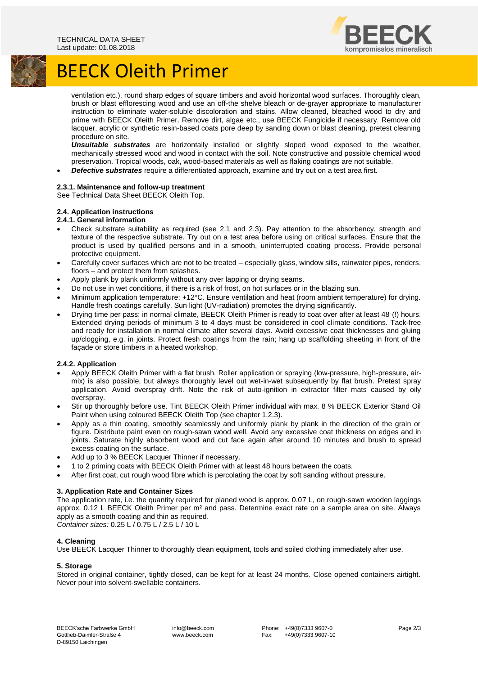

# BEECK Oleith Primer

ventilation etc.), round sharp edges of square timbers and avoid horizontal wood surfaces. Thoroughly clean, brush or blast efflorescing wood and use an off-the shelve bleach or de-grayer appropriate to manufacturer instruction to eliminate water-soluble discoloration and stains. Allow cleaned, bleached wood to dry and prime with BEECK Oleith Primer. Remove dirt, algae etc., use BEECK Fungicide if necessary. Remove old lacquer, acrylic or synthetic resin-based coats pore deep by sanding down or blast cleaning, pretest cleaning procedure on site.

*Unsuitable substrates* are horizontally installed or slightly sloped wood exposed to the weather, mechanically stressed wood and wood in contact with the soil. Note constructive and possible chemical wood preservation. Tropical woods, oak, wood-based materials as well as flaking coatings are not suitable.

• *Defective substrates* require a differentiated approach, examine and try out on a test area first.

### **2.3.1. Maintenance and follow-up treatment**

See Technical Data Sheet BEECK Oleith Top.

## **2.4. Application instructions**

- **2.4.1. General information**
- Check substrate suitability as required (see 2.1 and 2.3). Pay attention to the absorbency, strength and texture of the respective substrate. Try out on a test area before using on critical surfaces. Ensure that the product is used by qualified persons and in a smooth, uninterrupted coating process. Provide personal protective equipment.
- Carefully cover surfaces which are not to be treated especially glass, window sills, rainwater pipes, renders, floors – and protect them from splashes.
- Apply plank by plank uniformly without any over lapping or drying seams.
- Do not use in wet conditions, if there is a risk of frost, on hot surfaces or in the blazing sun.
- Minimum application temperature: +12°C. Ensure ventilation and heat (room ambient temperature) for drying. Handle fresh coatings carefully. Sun light (UV-radiation) promotes the drying significantly.
- Drying time per pass: in normal climate, BEECK Oleith Primer is ready to coat over after at least 48 (!) hours. Extended drying periods of minimum 3 to 4 days must be considered in cool climate conditions. Tack-free and ready for installation in normal climate after several days. Avoid excessive coat thicknesses and gluing up/clogging, e.g. in joints. Protect fresh coatings from the rain; hang up scaffolding sheeting in front of the façade or store timbers in a heated workshop.

### **2.4.2. Application**

- Apply BEECK Oleith Primer with a flat brush. Roller application or spraying (low-pressure, high-pressure, airmix) is also possible, but always thoroughly level out wet-in-wet subsequently by flat brush. Pretest spray application. Avoid overspray drift. Note the risk of auto-ignition in extractor filter mats caused by oily overspray.
- Stir up thoroughly before use. Tint BEECK Oleith Primer individual with max. 8 % BEECK Exterior Stand Oil Paint when using coloured BEECK Oleith Top (see chapter 1.2.3).
- Apply as a thin coating, smoothly seamlessly and uniformly plank by plank in the direction of the grain or figure. Distribute paint even on rough-sawn wood well. Avoid any excessive coat thickness on edges and in joints. Saturate highly absorbent wood and cut face again after around 10 minutes and brush to spread excess coating on the surface.
- Add up to 3 % BEECK Lacquer Thinner if necessary.
- 1 to 2 priming coats with BEECK Oleith Primer with at least 48 hours between the coats.
- After first coat, cut rough wood fibre which is percolating the coat by soft sanding without pressure.

### **3. Application Rate and Container Sizes**

The application rate, i.e. the quantity required for planed wood is approx. 0.07 L, on rough-sawn wooden laggings approx. 0.12 L BEECK Oleith Primer per m² and pass. Determine exact rate on a sample area on site. Always apply as a smooth coating and thin as required. *Container sizes:* 0.25 L / 0.75 L / 2.5 L / 10 L

### **4. Cleaning**

Use BEECK Lacquer Thinner to thoroughly clean equipment, tools and soiled clothing immediately after use.

### **5. Storage**

Stored in original container, tightly closed, can be kept for at least 24 months. Close opened containers airtight. Never pour into solvent-swellable containers.

info@beeck.com www.beeck.com